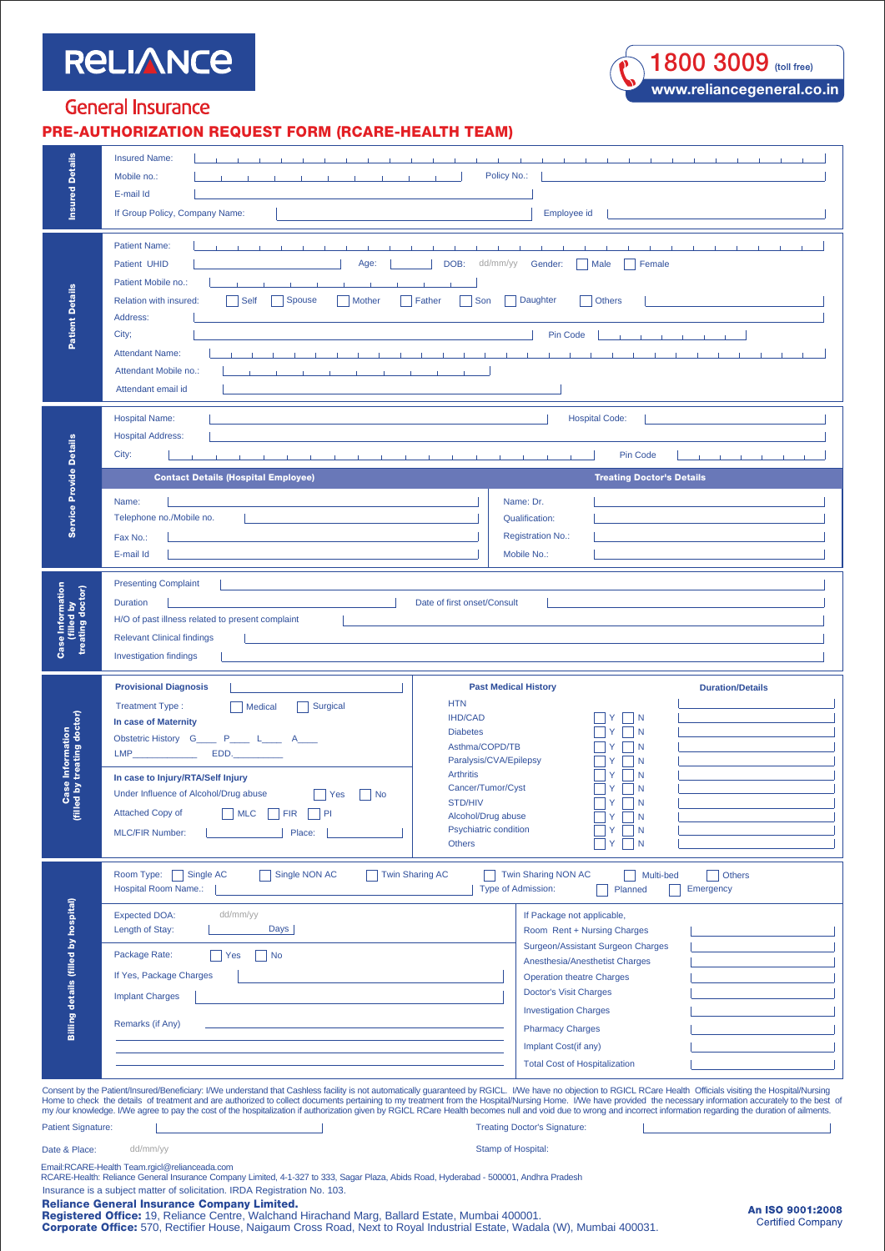# **RELIANCE**

## **General Insurance**

### PRE-AUTHORIZATION REQUEST FORM (RCARE-HEALTH TEAM)

| <b>Details</b><br>꿈                                                                                                                                                                                                                                                                                                                                                                                                                                                                                                                                                                                                                                                                                                                                                                                                                                                                                                                                                                                                                                                                                                                                                                                                                    | <b>Insured Name:</b><br>Mobile no.:<br>E-mail Id<br>If Group Policy, Company Name:                                                                                                                                                                                                                                                                                                                                                      | Policy No.:<br>Employee id                                                                                                                                                                                                                                                                                                                                                                                                                 |
|----------------------------------------------------------------------------------------------------------------------------------------------------------------------------------------------------------------------------------------------------------------------------------------------------------------------------------------------------------------------------------------------------------------------------------------------------------------------------------------------------------------------------------------------------------------------------------------------------------------------------------------------------------------------------------------------------------------------------------------------------------------------------------------------------------------------------------------------------------------------------------------------------------------------------------------------------------------------------------------------------------------------------------------------------------------------------------------------------------------------------------------------------------------------------------------------------------------------------------------|-----------------------------------------------------------------------------------------------------------------------------------------------------------------------------------------------------------------------------------------------------------------------------------------------------------------------------------------------------------------------------------------------------------------------------------------|--------------------------------------------------------------------------------------------------------------------------------------------------------------------------------------------------------------------------------------------------------------------------------------------------------------------------------------------------------------------------------------------------------------------------------------------|
| <b>Patient Details</b>                                                                                                                                                                                                                                                                                                                                                                                                                                                                                                                                                                                                                                                                                                                                                                                                                                                                                                                                                                                                                                                                                                                                                                                                                 | <b>Patient Name:</b><br>DOB:<br>dd/mm/yy<br>Gender:<br>$\vert$ Male<br>Female<br>Patient UHID<br>Age:<br>Patient Mobile no.:<br>Spouse<br>Mother<br>Daughter<br>Relation with insured:<br>Self<br>Father<br>Son<br><b>Others</b><br>Address:<br>City;<br>Pin Code<br><b>Attendant Name:</b><br>Attendant Mobile no.:<br>Attendant email id                                                                                              |                                                                                                                                                                                                                                                                                                                                                                                                                                            |
| <b>Service Provide Details</b>                                                                                                                                                                                                                                                                                                                                                                                                                                                                                                                                                                                                                                                                                                                                                                                                                                                                                                                                                                                                                                                                                                                                                                                                         | <b>Hospital Name:</b><br><b>Hospital Address:</b><br>City:<br><b>Contact Details (Hospital Employee)</b><br>Name:<br>Telephone no./Mobile no.<br>Fax No.:<br>E-mail Id                                                                                                                                                                                                                                                                  | <b>Hospital Code:</b><br>Pin Code<br><b>Treating Doctor's Details</b><br>Name: Dr.<br><b>Qualification:</b><br>Registration No.:<br>Mobile No.:                                                                                                                                                                                                                                                                                            |
| <b>ormation</b><br>filled by<br>ating doctor)                                                                                                                                                                                                                                                                                                                                                                                                                                                                                                                                                                                                                                                                                                                                                                                                                                                                                                                                                                                                                                                                                                                                                                                          | <b>Presenting Complaint</b><br>Date of first onset/Consult<br><b>Duration</b><br>H/O of past illness related to present complaint<br><b>Relevant Clinical findings</b><br><b>Investigation findings</b>                                                                                                                                                                                                                                 |                                                                                                                                                                                                                                                                                                                                                                                                                                            |
| <b>Information</b><br>treating doctor)<br><u>ڇ</u><br>ပိ<br>る                                                                                                                                                                                                                                                                                                                                                                                                                                                                                                                                                                                                                                                                                                                                                                                                                                                                                                                                                                                                                                                                                                                                                                          | <b>Provisional Diagnosis</b><br><b>HTN</b><br>Treatment Type:<br>Medical<br>Surgical<br><b>IHD/CAD</b><br>In case of Maternity<br><b>Diabetes</b><br>Obstetric History G<br>P <sub>1</sub><br><b>LMP</b><br>EDD.<br><b>Arthritis</b><br>In case to Injury/RTA/Self Injury<br>Under Influence of Alcohol/Drug abuse<br><b>No</b><br>Yes<br>STD/HIV<br>$MLC$ FIR<br>Attached Copy of<br>Place:<br><b>MLC/FIR Number:</b><br><b>Others</b> | <b>Past Medical History</b><br><b>Duration/Details</b><br>N<br>Asthma/COPD/TB<br>Paralysis/CVA/Epilepsy<br>N<br>N<br>Cancer/Tumor/Cyst<br>N<br>Y<br>Υ<br>N<br>Alcohol/Drug abuse<br>$\overline{N}$<br>Psychiatric condition<br>Υ<br>$\blacksquare$<br>$\overline{N}$<br>Y                                                                                                                                                                  |
| Billing details (filled by hospital)                                                                                                                                                                                                                                                                                                                                                                                                                                                                                                                                                                                                                                                                                                                                                                                                                                                                                                                                                                                                                                                                                                                                                                                                   | <b>Twin Sharing AC</b><br>Room Type:<br>Single AC<br>Single NON AC<br><b>Hospital Room Name.:</b><br><b>Expected DOA:</b><br>dd/mm/yy<br>Length of Stay:<br>Days $ $<br>Package Rate:<br>$\overline{\phantom{a}}$ No<br>Yes<br>If Yes, Package Charges<br><b>Implant Charges</b><br>Remarks (if Any)                                                                                                                                    | Twin Sharing NON AC<br>Multi-bed<br><b>Others</b><br><b>Type of Admission:</b><br>Emergency<br>Planned<br>If Package not applicable,<br>Room Rent + Nursing Charges<br>Surgeon/Assistant Surgeon Charges<br>Anesthesia/Anesthetist Charges<br><b>Operation theatre Charges</b><br><b>Doctor's Visit Charges</b><br><b>Investigation Charges</b><br><b>Pharmacy Charges</b><br>Implant Cost(if any)<br><b>Total Cost of Hospitalization</b> |
| Consent by the Patient/Insured/Beneficiary: I/We understand that Cashless facility is not automatically guaranteed by RGICL. I/We have no objection to RGICL RCare Health Officials visiting the Hospital/Nursing<br>Home to check the details of treatment and are authorized to collect documents pertaining to my treatment from the Hospital/Nursing Home. I/We have provided the necessary information accurately to the best of<br>my /our knowledge. I/We agree to pay the cost of the hospitalization if authorization given by RGICL RCare Health becomes null and void due to wrong and incorrect information regarding the duration of ailments.<br><b>Treating Doctor's Signature:</b><br><b>Patient Signature:</b><br>Date & Place:<br>dd/mm/yy<br>Stamp of Hospital:<br>Email:RCARE-Health Team.rgicl@relianceada.com<br>RCARE-Health: Reliance General Insurance Company Limited, 4-1-327 to 333, Sagar Plaza, Abids Road, Hyderabad - 500001, Andhra Pradesh<br>Insurance is a subject matter of solicitation. IRDA Registration No. 103.<br><b>Reliance General Insurance Company Limited.</b><br>An ISO 9001:2008<br>Registered Office: 19, Reliance Centre, Walchand Hirachand Marg, Ballard Estate, Mumbai 400001. |                                                                                                                                                                                                                                                                                                                                                                                                                                         |                                                                                                                                                                                                                                                                                                                                                                                                                                            |

Corporate Office: 570, Rectifier House, Naigaum Cross Road, Next to Royal Industrial Estate, Wadala (W), Mumbai 400031.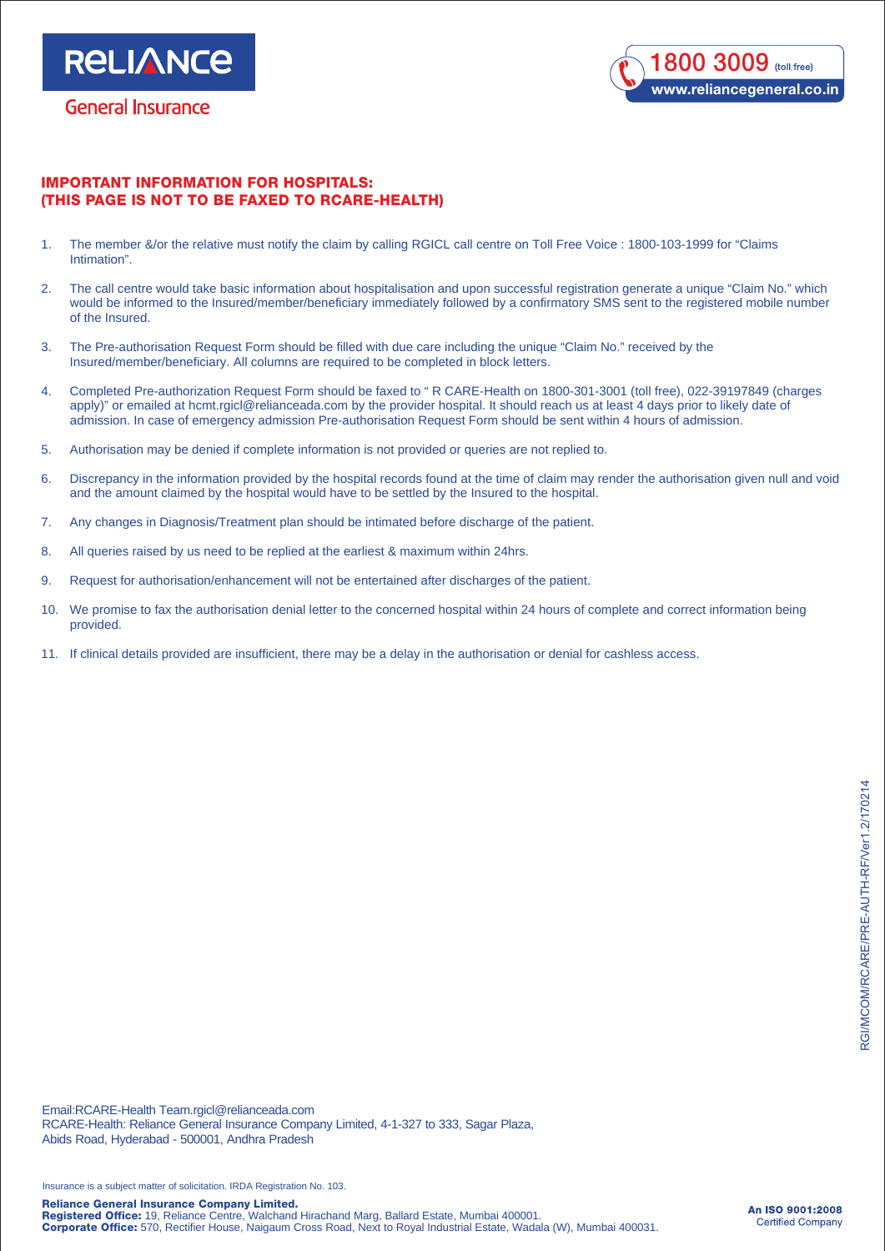**RELIANCE General Insurance** 

#### IMPORTANT INFORMATION FOR HOSPITALS: (THIS PAGE IS NOT TO BE FAXED TO RCARE-HEALTH)

- 1. The member &/or the relative must notify the claim by calling RGICL call centre on Toll Free Voice : 1800-103-1999 for "Claims Intimation".
- 2. The call centre would take basic information about hospitalisation and upon successful registration generate a unique "Claim No." which would be informed to the Insured/member/beneficiary immediately followed by a confirmatory SMS sent to the registered mobile number of the Insured.
- 3. The Pre-authorisation Request Form should be filled with due care including the unique "Claim No." received by the Insured/member/beneficiary. All columns are required to be completed in block letters.
- 4. Completed Pre-authorization Request Form should be faxed to " R CARE-Health on 1800-301-3001 (toll free), 022-39197849 (charges apply)" or emailed at hcmt.rgicl@relianceada.com by the provider hospital. It should reach us at least 4 days prior to likely date of admission. In case of emergency admission Pre-authorisation Request Form should be sent within 4 hours of admission.
- 5. Authorisation may be denied if complete information is not provided or queries are not replied to.
- 6. Discrepancy in the information provided by the hospital records found at the time of claim may render the authorisation given null and void and the amount claimed by the hospital would have to be settled by the Insured to the hospital.
- 7. Any changes in Diagnosis/Treatment plan should be intimated before discharge of the patient.
- 8. All queries raised by us need to be replied at the earliest & maximum within 24hrs.
- 9. Request for authorisation/enhancement will not be entertained after discharges of the patient.
- 10. We promise to fax the authorisation denial letter to the concerned hospital within 24 hours of complete and correct information being provided.
- 11. If clinical details provided are insufficient, there may be a delay in the authorisation or denial for cashless access.

Email:RCARE-Health Team.rgicl@relianceada.com RCARE-Health: Reliance General Insurance Company Limited, 4-1-327 to 333, Sagar Plaza, Abids Road, Hyderabad - 500001, Andhra Pradesh

Insurance is a subject matter of solicitation. IRDA Registration No. 103.